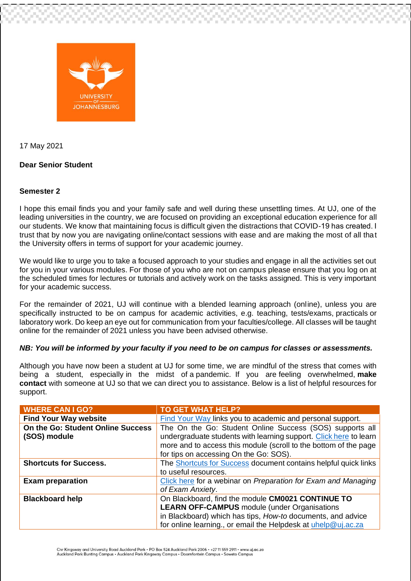

17 May 2021

## **Dear Senior Student**

## **Semester 2**

I hope this email finds you and your family safe and well during these unsettling times. At UJ, one of the leading universities in the country, we are focused on providing an exceptional education experience for all our students. We know that maintaining focus is difficult given the distractions that COVID-19 has created. I trust that by now you are navigating online/contact sessions with ease and are making the most of all that the University offers in terms of support for your academic journey.

We would like to urge you to take a focused approach to your studies and engage in all the activities set out for you in your various modules. For those of you who are not on campus please ensure that you log on at the scheduled times for lectures or tutorials and actively work on the tasks assigned. This is very important for your academic success.

For the remainder of 2021, UJ will continue with a blended learning approach (online), unless you are specifically instructed to be on campus for academic activities, e.g. teaching, tests/exams, practicals or laboratory work. Do keep an eye out for communication from your faculties/college. All classes will be taught online for the remainder of 2021 unless you have been advised otherwise.

## *NB: You will be informed by your faculty if you need to be on campus for classes or assessments.*

Although you have now been a student at UJ for some time, we are mindful of the stress that comes with being a student, especially in the midst of a pandemic. If you are feeling overwhelmed, **make contact** with someone at UJ so that we can direct you to assistance. Below is a list of helpful resources for support.

| <b>WHERE CAN I GO?</b>                            | <b>TO GET WHAT HELP?</b>                                                                                                                                                                                                                    |
|---------------------------------------------------|---------------------------------------------------------------------------------------------------------------------------------------------------------------------------------------------------------------------------------------------|
| <b>Find Your Way website</b>                      | Find Your Way links you to academic and personal support.                                                                                                                                                                                   |
| On the Go: Student Online Success<br>(SOS) module | The On the Go: Student Online Success (SOS) supports all<br>undergraduate students with learning support. Click here to learn<br>more and to access this module (scroll to the bottom of the page<br>for tips on accessing On the Go: SOS). |
| <b>Shortcuts for Success.</b>                     | The Shortcuts for Success document contains helpful quick links                                                                                                                                                                             |
|                                                   | to useful resources.                                                                                                                                                                                                                        |
| <b>Exam preparation</b>                           | Click here for a webinar on Preparation for Exam and Managing                                                                                                                                                                               |
|                                                   | of Exam Anxiety.                                                                                                                                                                                                                            |
| <b>Blackboard help</b>                            | On Blackboard, find the module CM0021 CONTINUE TO                                                                                                                                                                                           |
|                                                   | <b>LEARN OFF-CAMPUS</b> module (under Organisations                                                                                                                                                                                         |
|                                                   | in Blackboard) which has tips, How-to documents, and advice                                                                                                                                                                                 |
|                                                   | for online learning., or email the Helpdesk at uhelp@uj.ac.za                                                                                                                                                                               |